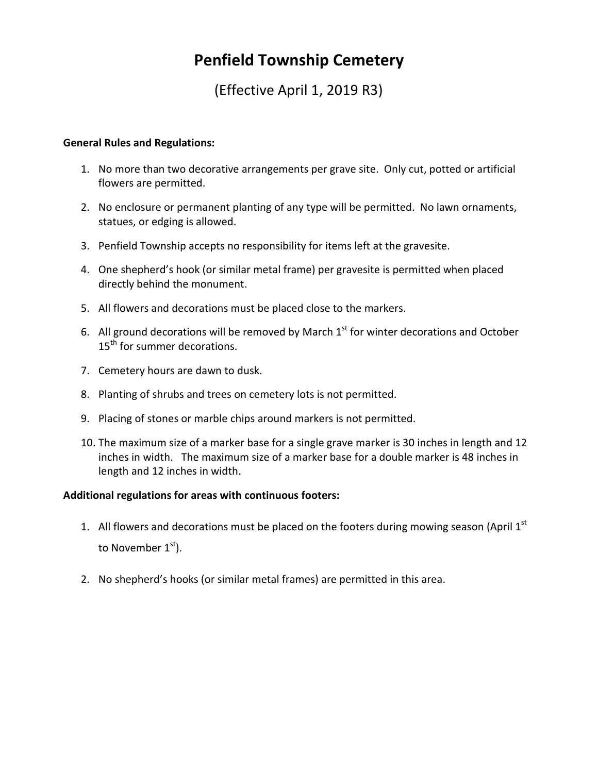## **Penfield Township Cemetery**

(Effective April 1, 2019 R3)

## **General Rules and Regulations:**

- 1. No more than two decorative arrangements per grave site. Only cut, potted or artificial flowers are permitted.
- 2. No enclosure or permanent planting of any type will be permitted. No lawn ornaments, statues, or edging is allowed.
- 3. Penfield Township accepts no responsibility for items left at the gravesite.
- 4. One shepherd's hook (or similar metal frame) per gravesite is permitted when placed directly behind the monument.
- 5. All flowers and decorations must be placed close to the markers.
- 6. All ground decorations will be removed by March  $1<sup>st</sup>$  for winter decorations and October 15<sup>th</sup> for summer decorations.
- 7. Cemetery hours are dawn to dusk.
- 8. Planting of shrubs and trees on cemetery lots is not permitted.
- 9. Placing of stones or marble chips around markers is not permitted.
- 10. The maximum size of a marker base for a single grave marker is 30 inches in length and 12 inches in width. The maximum size of a marker base for a double marker is 48 inches in length and 12 inches in width.

## **Additional regulations for areas with continuous footers:**

- 1. All flowers and decorations must be placed on the footers during mowing season (April  $1<sup>st</sup>$ to November  $1<sup>st</sup>$ ).
- 2. No shepherd's hooks (or similar metal frames) are permitted in this area.